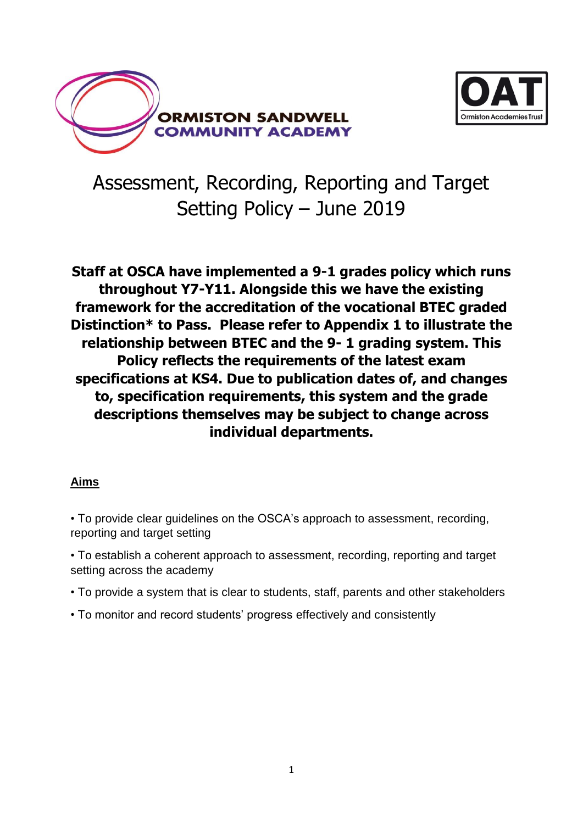



# Assessment, Recording, Reporting and Target Setting Policy – June 2019

**Staff at OSCA have implemented a 9-1 grades policy which runs throughout Y7-Y11. Alongside this we have the existing framework for the accreditation of the vocational BTEC graded Distinction\* to Pass. Please refer to Appendix 1 to illustrate the relationship between BTEC and the 9- 1 grading system. This Policy reflects the requirements of the latest exam specifications at KS4. Due to publication dates of, and changes to, specification requirements, this system and the grade descriptions themselves may be subject to change across individual departments.**

#### **Aims**

- To provide clear guidelines on the OSCA's approach to assessment, recording, reporting and target setting
- To establish a coherent approach to assessment, recording, reporting and target setting across the academy
- To provide a system that is clear to students, staff, parents and other stakeholders
- To monitor and record students' progress effectively and consistently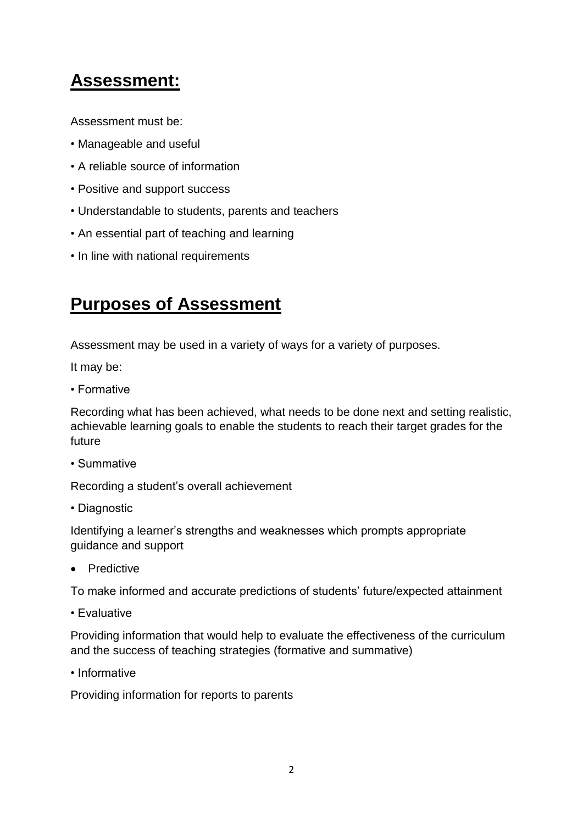## **Assessment:**

Assessment must be:

- Manageable and useful
- A reliable source of information
- Positive and support success
- Understandable to students, parents and teachers
- An essential part of teaching and learning
- In line with national requirements

## **Purposes of Assessment**

Assessment may be used in a variety of ways for a variety of purposes.

It may be:

• Formative

Recording what has been achieved, what needs to be done next and setting realistic, achievable learning goals to enable the students to reach their target grades for the future

• Summative

Recording a student's overall achievement

• Diagnostic

Identifying a learner's strengths and weaknesses which prompts appropriate guidance and support

**•** Predictive

To make informed and accurate predictions of students' future/expected attainment

• Evaluative

Providing information that would help to evaluate the effectiveness of the curriculum and the success of teaching strategies (formative and summative)

• Informative

Providing information for reports to parents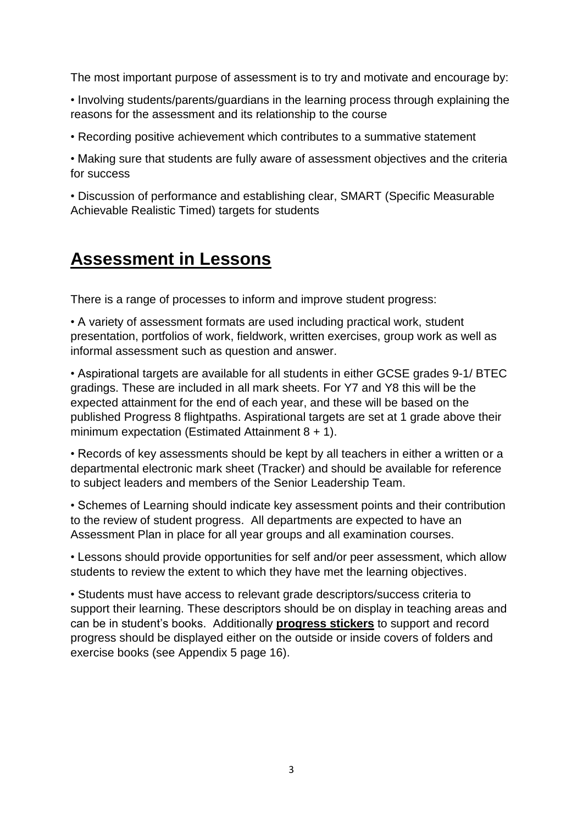The most important purpose of assessment is to try and motivate and encourage by:

• Involving students/parents/guardians in the learning process through explaining the reasons for the assessment and its relationship to the course

• Recording positive achievement which contributes to a summative statement

• Making sure that students are fully aware of assessment objectives and the criteria for success

• Discussion of performance and establishing clear, SMART (Specific Measurable Achievable Realistic Timed) targets for students

### **Assessment in Lessons**

There is a range of processes to inform and improve student progress:

• A variety of assessment formats are used including practical work, student presentation, portfolios of work, fieldwork, written exercises, group work as well as informal assessment such as question and answer.

• Aspirational targets are available for all students in either GCSE grades 9-1/ BTEC gradings. These are included in all mark sheets. For Y7 and Y8 this will be the expected attainment for the end of each year, and these will be based on the published Progress 8 flightpaths. Aspirational targets are set at 1 grade above their minimum expectation (Estimated Attainment 8 + 1).

• Records of key assessments should be kept by all teachers in either a written or a departmental electronic mark sheet (Tracker) and should be available for reference to subject leaders and members of the Senior Leadership Team.

• Schemes of Learning should indicate key assessment points and their contribution to the review of student progress. All departments are expected to have an Assessment Plan in place for all year groups and all examination courses.

• Lessons should provide opportunities for self and/or peer assessment, which allow students to review the extent to which they have met the learning objectives.

• Students must have access to relevant grade descriptors/success criteria to support their learning. These descriptors should be on display in teaching areas and can be in student's books. Additionally **progress stickers** to support and record progress should be displayed either on the outside or inside covers of folders and exercise books (see Appendix 5 page 16).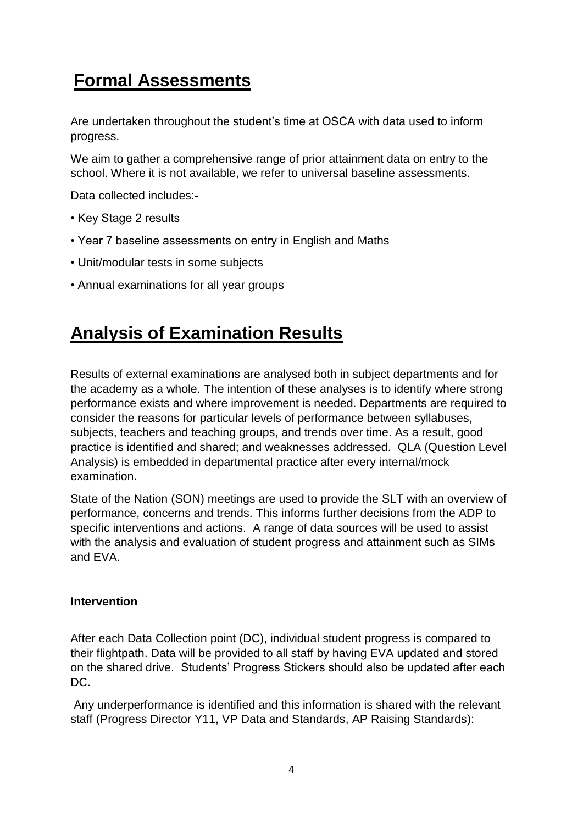## **Formal Assessments**

Are undertaken throughout the student's time at OSCA with data used to inform progress.

We aim to gather a comprehensive range of prior attainment data on entry to the school. Where it is not available, we refer to universal baseline assessments.

Data collected includes:-

- Key Stage 2 results
- Year 7 baseline assessments on entry in English and Maths
- Unit/modular tests in some subjects
- Annual examinations for all year groups

### **Analysis of Examination Results**

Results of external examinations are analysed both in subject departments and for the academy as a whole. The intention of these analyses is to identify where strong performance exists and where improvement is needed. Departments are required to consider the reasons for particular levels of performance between syllabuses, subjects, teachers and teaching groups, and trends over time. As a result, good practice is identified and shared; and weaknesses addressed. QLA (Question Level Analysis) is embedded in departmental practice after every internal/mock examination.

State of the Nation (SON) meetings are used to provide the SLT with an overview of performance, concerns and trends. This informs further decisions from the ADP to specific interventions and actions. A range of data sources will be used to assist with the analysis and evaluation of student progress and attainment such as SIMs and EVA.

#### **Intervention**

After each Data Collection point (DC), individual student progress is compared to their flightpath. Data will be provided to all staff by having EVA updated and stored on the shared drive. Students' Progress Stickers should also be updated after each DC.

Any underperformance is identified and this information is shared with the relevant staff (Progress Director Y11, VP Data and Standards, AP Raising Standards):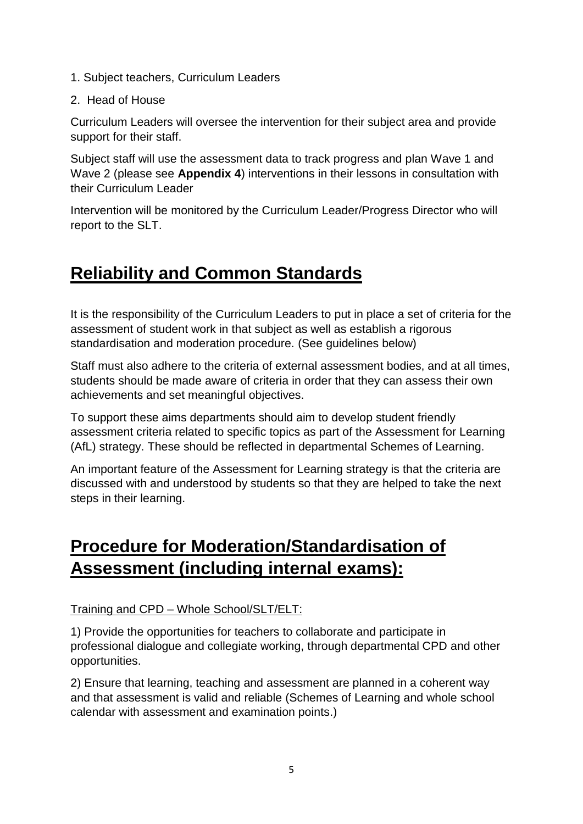- 1. Subject teachers, Curriculum Leaders
- 2. Head of House

Curriculum Leaders will oversee the intervention for their subject area and provide support for their staff.

Subject staff will use the assessment data to track progress and plan Wave 1 and Wave 2 (please see **Appendix 4**) interventions in their lessons in consultation with their Curriculum Leader

Intervention will be monitored by the Curriculum Leader/Progress Director who will report to the SLT.

## **Reliability and Common Standards**

It is the responsibility of the Curriculum Leaders to put in place a set of criteria for the assessment of student work in that subject as well as establish a rigorous standardisation and moderation procedure. (See guidelines below)

Staff must also adhere to the criteria of external assessment bodies, and at all times, students should be made aware of criteria in order that they can assess their own achievements and set meaningful objectives.

To support these aims departments should aim to develop student friendly assessment criteria related to specific topics as part of the Assessment for Learning (AfL) strategy. These should be reflected in departmental Schemes of Learning.

An important feature of the Assessment for Learning strategy is that the criteria are discussed with and understood by students so that they are helped to take the next steps in their learning.

## **Procedure for Moderation/Standardisation of Assessment (including internal exams):**

#### Training and CPD – Whole School/SLT/ELT:

1) Provide the opportunities for teachers to collaborate and participate in professional dialogue and collegiate working, through departmental CPD and other opportunities.

2) Ensure that learning, teaching and assessment are planned in a coherent way and that assessment is valid and reliable (Schemes of Learning and whole school calendar with assessment and examination points.)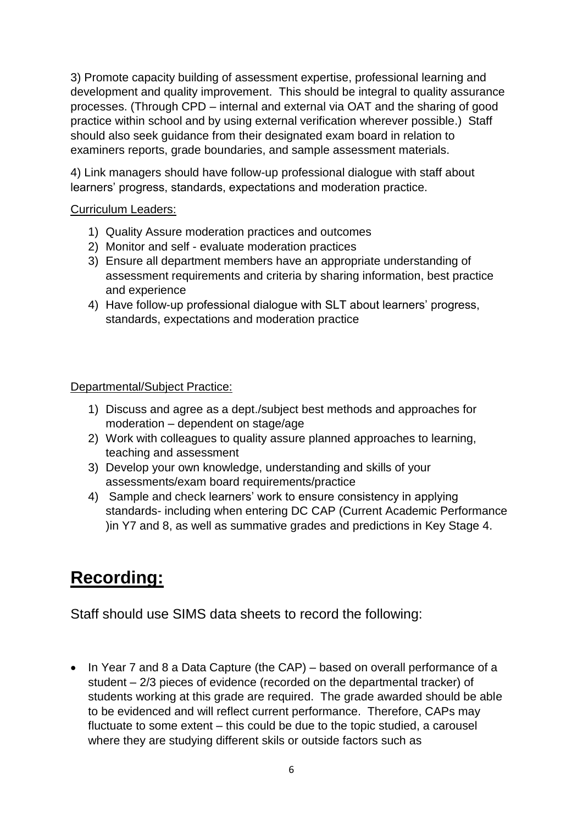3) Promote capacity building of assessment expertise, professional learning and development and quality improvement. This should be integral to quality assurance processes. (Through CPD – internal and external via OAT and the sharing of good practice within school and by using external verification wherever possible.) Staff should also seek guidance from their designated exam board in relation to examiners reports, grade boundaries, and sample assessment materials.

4) Link managers should have follow-up professional dialogue with staff about learners' progress, standards, expectations and moderation practice.

#### Curriculum Leaders:

- 1) Quality Assure moderation practices and outcomes
- 2) Monitor and self evaluate moderation practices
- 3) Ensure all department members have an appropriate understanding of assessment requirements and criteria by sharing information, best practice and experience
- 4) Have follow-up professional dialogue with SLT about learners' progress, standards, expectations and moderation practice

#### Departmental/Subject Practice:

- 1) Discuss and agree as a dept./subject best methods and approaches for moderation – dependent on stage/age
- 2) Work with colleagues to quality assure planned approaches to learning, teaching and assessment
- 3) Develop your own knowledge, understanding and skills of your assessments/exam board requirements/practice
- 4) Sample and check learners' work to ensure consistency in applying standards- including when entering DC CAP (Current Academic Performance )in Y7 and 8, as well as summative grades and predictions in Key Stage 4.

# **Recording:**

Staff should use SIMS data sheets to record the following:

• In Year 7 and 8 a Data Capture (the CAP) – based on overall performance of a student – 2/3 pieces of evidence (recorded on the departmental tracker) of students working at this grade are required. The grade awarded should be able to be evidenced and will reflect current performance. Therefore, CAPs may fluctuate to some extent – this could be due to the topic studied, a carousel where they are studying different skils or outside factors such as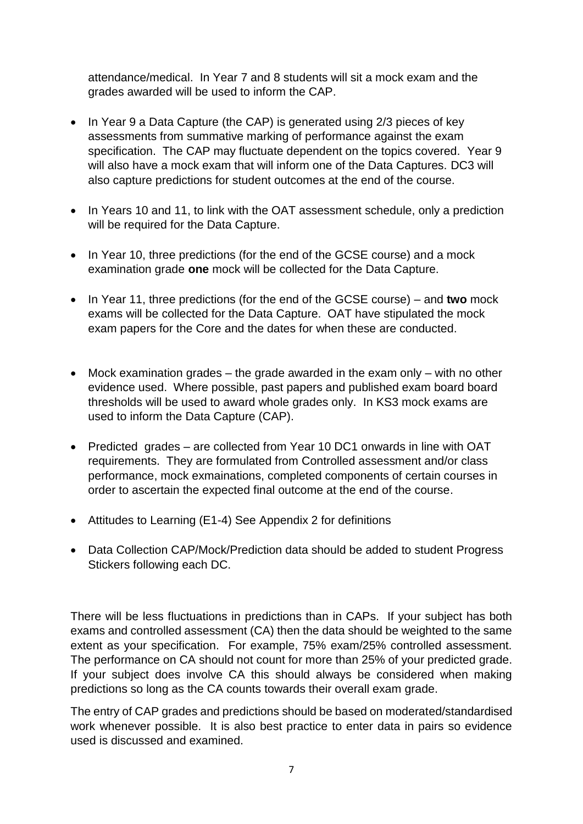attendance/medical. In Year 7 and 8 students will sit a mock exam and the grades awarded will be used to inform the CAP.

- In Year 9 a Data Capture (the CAP) is generated using 2/3 pieces of key assessments from summative marking of performance against the exam specification. The CAP may fluctuate dependent on the topics covered. Year 9 will also have a mock exam that will inform one of the Data Captures. DC3 will also capture predictions for student outcomes at the end of the course.
- In Years 10 and 11, to link with the OAT assessment schedule, only a prediction will be required for the Data Capture.
- In Year 10, three predictions (for the end of the GCSE course) and a mock examination grade **one** mock will be collected for the Data Capture.
- In Year 11, three predictions (for the end of the GCSE course) and **two** mock exams will be collected for the Data Capture. OAT have stipulated the mock exam papers for the Core and the dates for when these are conducted.
- Mock examination grades  $-$  the grade awarded in the exam only  $-$  with no other evidence used. Where possible, past papers and published exam board board thresholds will be used to award whole grades only. In KS3 mock exams are used to inform the Data Capture (CAP).
- Predicted grades are collected from Year 10 DC1 onwards in line with OAT requirements. They are formulated from Controlled assessment and/or class performance, mock exmainations, completed components of certain courses in order to ascertain the expected final outcome at the end of the course.
- Attitudes to Learning (E1-4) See Appendix 2 for definitions
- Data Collection CAP/Mock/Prediction data should be added to student Progress Stickers following each DC.

There will be less fluctuations in predictions than in CAPs. If your subject has both exams and controlled assessment (CA) then the data should be weighted to the same extent as your specification. For example, 75% exam/25% controlled assessment. The performance on CA should not count for more than 25% of your predicted grade. If your subject does involve CA this should always be considered when making predictions so long as the CA counts towards their overall exam grade.

The entry of CAP grades and predictions should be based on moderated/standardised work whenever possible. It is also best practice to enter data in pairs so evidence used is discussed and examined.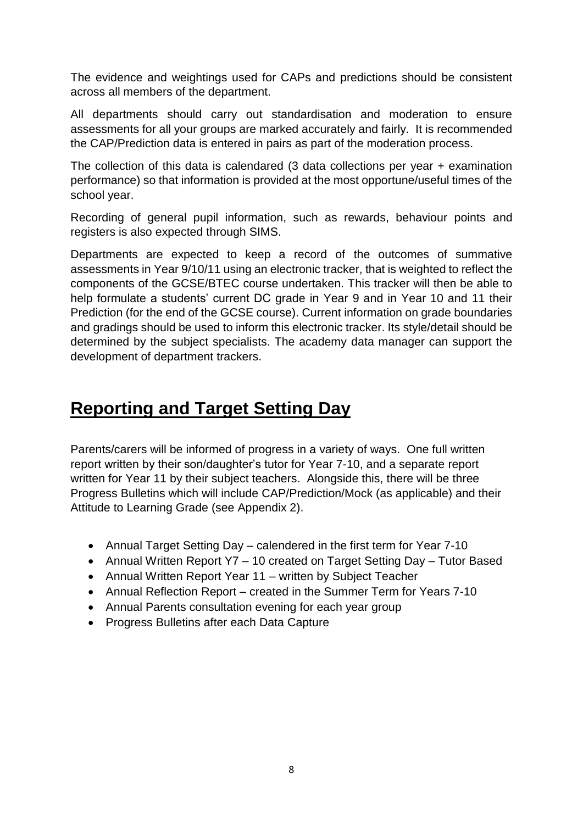The evidence and weightings used for CAPs and predictions should be consistent across all members of the department.

All departments should carry out standardisation and moderation to ensure assessments for all your groups are marked accurately and fairly. It is recommended the CAP/Prediction data is entered in pairs as part of the moderation process.

The collection of this data is calendared (3 data collections per year + examination performance) so that information is provided at the most opportune/useful times of the school year.

Recording of general pupil information, such as rewards, behaviour points and registers is also expected through SIMS.

Departments are expected to keep a record of the outcomes of summative assessments in Year 9/10/11 using an electronic tracker, that is weighted to reflect the components of the GCSE/BTEC course undertaken. This tracker will then be able to help formulate a students' current DC grade in Year 9 and in Year 10 and 11 their Prediction (for the end of the GCSE course). Current information on grade boundaries and gradings should be used to inform this electronic tracker. Its style/detail should be determined by the subject specialists. The academy data manager can support the development of department trackers.

### **Reporting and Target Setting Day**

Parents/carers will be informed of progress in a variety of ways. One full written report written by their son/daughter's tutor for Year 7-10, and a separate report written for Year 11 by their subject teachers. Alongside this, there will be three Progress Bulletins which will include CAP/Prediction/Mock (as applicable) and their Attitude to Learning Grade (see Appendix 2).

- Annual Target Setting Day calendered in the first term for Year 7-10
- Annual Written Report Y7 10 created on Target Setting Day Tutor Based
- Annual Written Report Year 11 written by Subject Teacher
- Annual Reflection Report created in the Summer Term for Years 7-10
- Annual Parents consultation evening for each year group
- Progress Bulletins after each Data Capture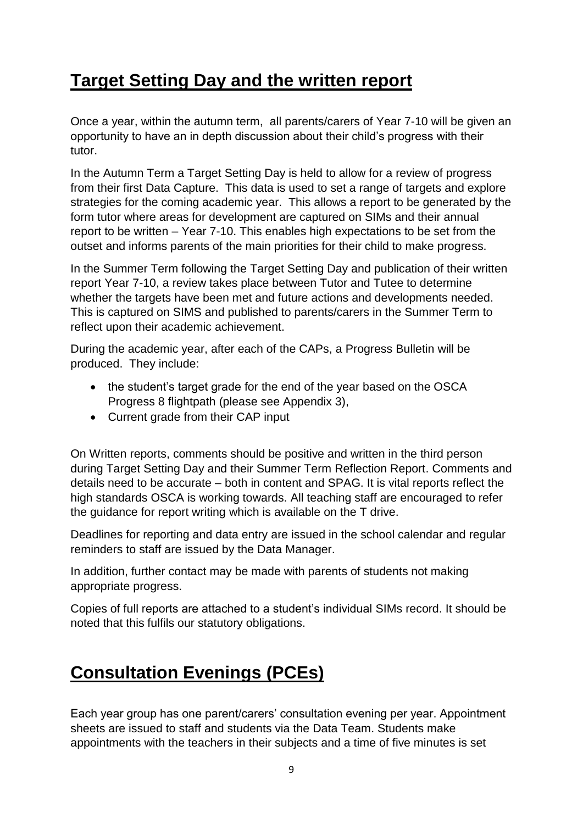## **Target Setting Day and the written report**

Once a year, within the autumn term, all parents/carers of Year 7-10 will be given an opportunity to have an in depth discussion about their child's progress with their tutor.

In the Autumn Term a Target Setting Day is held to allow for a review of progress from their first Data Capture. This data is used to set a range of targets and explore strategies for the coming academic year. This allows a report to be generated by the form tutor where areas for development are captured on SIMs and their annual report to be written – Year 7-10. This enables high expectations to be set from the outset and informs parents of the main priorities for their child to make progress.

In the Summer Term following the Target Setting Day and publication of their written report Year 7-10, a review takes place between Tutor and Tutee to determine whether the targets have been met and future actions and developments needed. This is captured on SIMS and published to parents/carers in the Summer Term to reflect upon their academic achievement.

During the academic year, after each of the CAPs, a Progress Bulletin will be produced. They include:

- the student's target grade for the end of the year based on the OSCA Progress 8 flightpath (please see Appendix 3),
- Current grade from their CAP input

On Written reports, comments should be positive and written in the third person during Target Setting Day and their Summer Term Reflection Report. Comments and details need to be accurate – both in content and SPAG. It is vital reports reflect the high standards OSCA is working towards. All teaching staff are encouraged to refer the guidance for report writing which is available on the T drive.

Deadlines for reporting and data entry are issued in the school calendar and regular reminders to staff are issued by the Data Manager.

In addition, further contact may be made with parents of students not making appropriate progress.

Copies of full reports are attached to a student's individual SIMs record. It should be noted that this fulfils our statutory obligations.

## **Consultation Evenings (PCEs)**

Each year group has one parent/carers' consultation evening per year. Appointment sheets are issued to staff and students via the Data Team. Students make appointments with the teachers in their subjects and a time of five minutes is set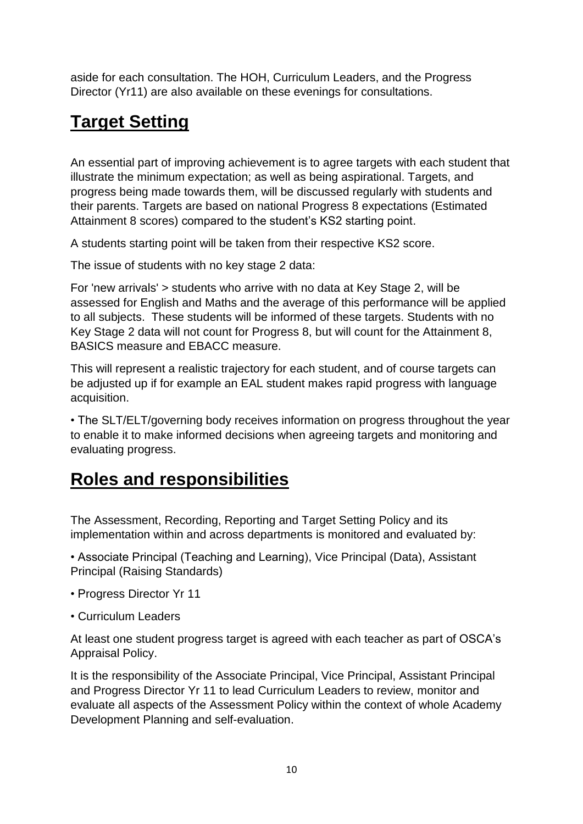aside for each consultation. The HOH, Curriculum Leaders, and the Progress Director (Yr11) are also available on these evenings for consultations.

# **Target Setting**

An essential part of improving achievement is to agree targets with each student that illustrate the minimum expectation; as well as being aspirational. Targets, and progress being made towards them, will be discussed regularly with students and their parents. Targets are based on national Progress 8 expectations (Estimated Attainment 8 scores) compared to the student's KS2 starting point.

A students starting point will be taken from their respective KS2 score.

The issue of students with no key stage 2 data:

For 'new arrivals' > students who arrive with no data at Key Stage 2, will be assessed for English and Maths and the average of this performance will be applied to all subjects. These students will be informed of these targets. Students with no Key Stage 2 data will not count for Progress 8, but will count for the Attainment 8, BASICS measure and EBACC measure.

This will represent a realistic trajectory for each student, and of course targets can be adjusted up if for example an EAL student makes rapid progress with language acquisition.

• The SLT/ELT/governing body receives information on progress throughout the year to enable it to make informed decisions when agreeing targets and monitoring and evaluating progress.

### **Roles and responsibilities**

The Assessment, Recording, Reporting and Target Setting Policy and its implementation within and across departments is monitored and evaluated by:

• Associate Principal (Teaching and Learning), Vice Principal (Data), Assistant Principal (Raising Standards)

- Progress Director Yr 11
- Curriculum Leaders

At least one student progress target is agreed with each teacher as part of OSCA's Appraisal Policy.

It is the responsibility of the Associate Principal, Vice Principal, Assistant Principal and Progress Director Yr 11 to lead Curriculum Leaders to review, monitor and evaluate all aspects of the Assessment Policy within the context of whole Academy Development Planning and self-evaluation.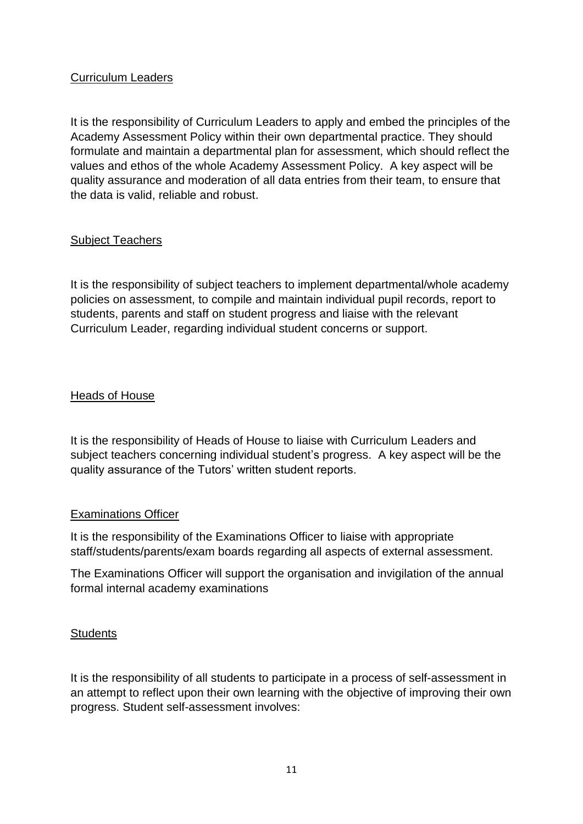#### Curriculum Leaders

It is the responsibility of Curriculum Leaders to apply and embed the principles of the Academy Assessment Policy within their own departmental practice. They should formulate and maintain a departmental plan for assessment, which should reflect the values and ethos of the whole Academy Assessment Policy. A key aspect will be quality assurance and moderation of all data entries from their team, to ensure that the data is valid, reliable and robust.

#### Subject Teachers

It is the responsibility of subject teachers to implement departmental/whole academy policies on assessment, to compile and maintain individual pupil records, report to students, parents and staff on student progress and liaise with the relevant Curriculum Leader, regarding individual student concerns or support.

#### Heads of House

It is the responsibility of Heads of House to liaise with Curriculum Leaders and subject teachers concerning individual student's progress. A key aspect will be the quality assurance of the Tutors' written student reports.

#### Examinations Officer

It is the responsibility of the Examinations Officer to liaise with appropriate staff/students/parents/exam boards regarding all aspects of external assessment.

The Examinations Officer will support the organisation and invigilation of the annual formal internal academy examinations

#### **Students**

It is the responsibility of all students to participate in a process of self-assessment in an attempt to reflect upon their own learning with the objective of improving their own progress. Student self-assessment involves: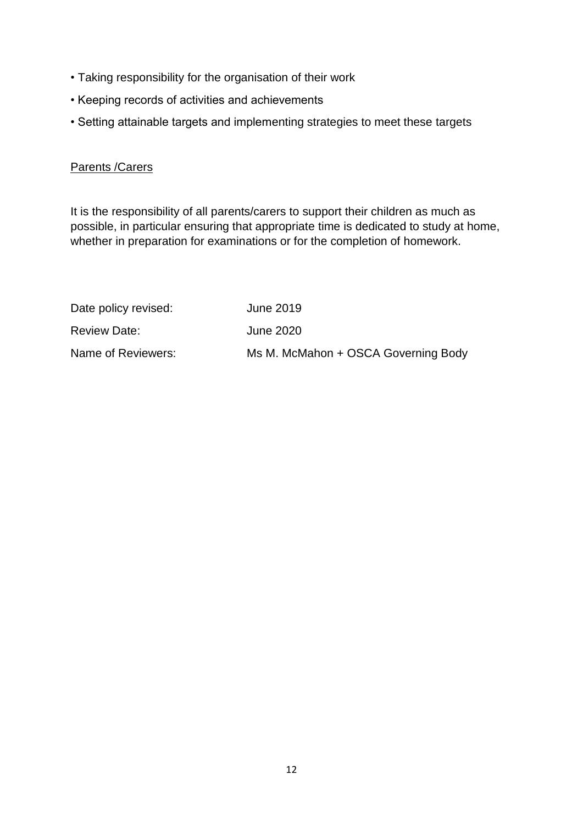- Taking responsibility for the organisation of their work
- Keeping records of activities and achievements
- Setting attainable targets and implementing strategies to meet these targets

#### Parents /Carers

It is the responsibility of all parents/carers to support their children as much as possible, in particular ensuring that appropriate time is dedicated to study at home, whether in preparation for examinations or for the completion of homework.

| Date policy revised: | June 2019                           |
|----------------------|-------------------------------------|
| <b>Review Date:</b>  | June 2020                           |
| Name of Reviewers:   | Ms M. McMahon + OSCA Governing Body |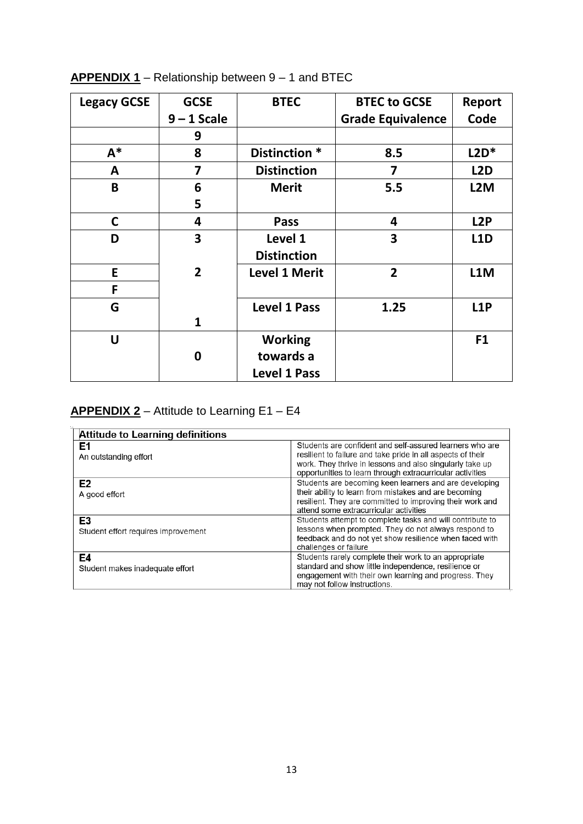| <b>Legacy GCSE</b> | <b>GCSE</b>    | <b>BTEC</b>          | <b>BTEC to GCSE</b>      | Report           |
|--------------------|----------------|----------------------|--------------------------|------------------|
|                    | $9 - 1$ Scale  |                      | <b>Grade Equivalence</b> | Code             |
|                    | 9              |                      |                          |                  |
| $A^*$              | 8              | Distinction *        | 8.5                      | $L2D*$           |
| A                  | 7              | <b>Distinction</b>   | $\overline{\mathbf{z}}$  | L <sub>2</sub> D |
| B                  | 6              | <b>Merit</b>         | 5.5                      | L <sub>2</sub> M |
|                    | 5              |                      |                          |                  |
| $\mathbf C$        | 4              | Pass                 | 4                        | L <sub>2</sub> P |
| D                  | 3              | Level 1              | 3                        | <b>L1D</b>       |
|                    |                | <b>Distinction</b>   |                          |                  |
| E                  | $\overline{2}$ | <b>Level 1 Merit</b> | $\overline{2}$           | L1M              |
| F                  |                |                      |                          |                  |
| G                  |                | <b>Level 1 Pass</b>  | 1.25                     | <b>L1P</b>       |
|                    | $\mathbf{1}$   |                      |                          |                  |
| U                  |                | <b>Working</b>       |                          | F1               |
|                    | 0              | towards a            |                          |                  |
|                    |                | <b>Level 1 Pass</b>  |                          |                  |

### **APPENDIX 1** – Relationship between 9 – 1 and BTEC

#### **APPENDIX 2** – Attitude to Learning E1 – E4

| <b>Attitude to Learning definitions</b>   |                                                                                                                                                                                                                                                  |
|-------------------------------------------|--------------------------------------------------------------------------------------------------------------------------------------------------------------------------------------------------------------------------------------------------|
| E1<br>An outstanding effort               | Students are confident and self-assured learners who are<br>resilient to failure and take pride in all aspects of their<br>work. They thrive in lessons and also singularly take up<br>opportunities to learn through extracurricular activities |
| E <sub>2</sub><br>A good effort           | Students are becoming keen learners and are developing<br>their ability to learn from mistakes and are becoming<br>resilient. They are committed to improving their work and<br>attend some extracurricular activities                           |
| E3<br>Student effort requires improvement | Students attempt to complete tasks and will contribute to<br>lessons when prompted. They do not always respond to<br>feedback and do not yet show resilience when faced with<br>challenges or failure                                            |
| E4<br>Student makes inadequate effort     | Students rarely complete their work to an appropriate<br>standard and show little independence, resilience or<br>engagement with their own learning and progress. They<br>may not follow instructions.                                           |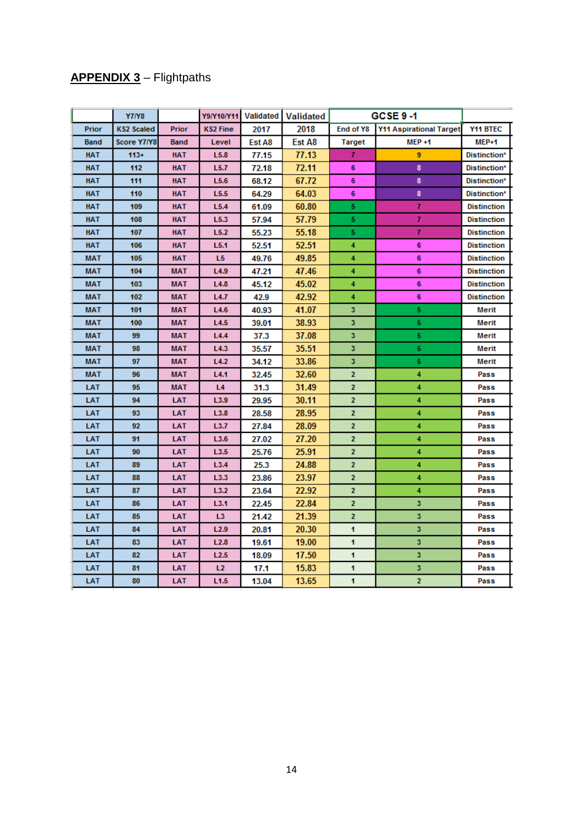### **APPENDIX 3** – Flightpaths

|            | <b>Y7/Y8</b>      |            |                  | Y9/Y10/Y11 Validated | <b>Validated</b> | <b>GCSE 9-1</b>                             |                |                    |
|------------|-------------------|------------|------------------|----------------------|------------------|---------------------------------------------|----------------|--------------------|
| Prior      | <b>KS2 Scaled</b> | Prior      | <b>KS2 Fine</b>  | 2017                 | 2018             | End of Y8<br><b>Y11 Aspirational Target</b> |                | Y11 BTEC           |
| Band       | Score Y7/Y8       | Band       | Level            | Est A8               | Est A8           | Target                                      | $MEP + 1$      | MEP+1              |
| <b>HAT</b> | 113+              | HAT        | L5.8             | 77.15                | 77.13            | 7.                                          | 9              | Distinction*       |
| HAT        | 112               | HAT        | L5.7             | 72.18                | 72.11            | 6                                           | 8              | Distinction*       |
| <b>HAT</b> | 111               | HAT        | L5.6             | 68.12                | 67.72            | 6                                           | 8              | Distinction*       |
| HAT        | 110               | <b>HAT</b> | L5.5             | 64.29                | 64.03            | 6                                           | 8              | Distinction*       |
| <b>HAT</b> | 109               | <b>HAT</b> | L5.4             | 61.09                | 60.80            | 5.                                          | 7              | <b>Distinction</b> |
| HAT        | 108               | HAT        | L5.3             | 57.94                | 57.79            | 5.                                          | 7              | <b>Distinction</b> |
| <b>HAT</b> | 107               | HAT        | L5.2             | 55.23                | 55.18            | 5                                           | 7              | <b>Distinction</b> |
| <b>HAT</b> | 106               | <b>HAT</b> | L5.1             | 52.51                | 52.51            | 4                                           | 6              | <b>Distinction</b> |
| MAT        | 105               | <b>HAT</b> | L5               | 49.76                | 49.85            | 4                                           | 6              | <b>Distinction</b> |
| MAT        | 104               | MAT        | L4.9             | 47.21                | 47.46            | 4                                           | 6              | <b>Distinction</b> |
| MAT        | 103               | MAT        | L4.8             | 45.12                | 45.02            | 4                                           | 6              | <b>Distinction</b> |
| MAT        | 102               | MAT        | L4.7             | 42.9                 | 42.92            | 4                                           | 6              | <b>Distinction</b> |
| MAT        | 101               | MAT        | L4.6             | 40.93                | 41.07            | 3                                           | 5              | Merit              |
| MAT        | 100               | MAT        | L4.5             | 39.01                | 38.93            | 3.                                          | 5              | Merit              |
| MAT        | 99                | <b>MAT</b> | L4.4             | 37.3                 | 37.08            | 3.                                          | 5              | Merit              |
| MAT        | 98                | <b>MAT</b> | L4.3             | 35.57                | 35.51            | 3                                           | 5              | Merit              |
| MAT        | 97                | MAT        | L4.2             | 34.12                | 33.86            | 3                                           | 5              | Merit              |
| MAT        | 96                | MAT        | L4.1             | 32.45                | 32.60            | 2                                           | 4              | Pass               |
| LAT        | 95                | MAT        | L4               | 31.3                 | 31.49            | 2                                           | 4              | Pass               |
| LAT        | 94                | LAT        | L3.9             | 29.95                | 30.11            | $\overline{2}$                              | 4              | Pass               |
| LAT        | 93                | LAT        | L3.8             | 28.58                | 28.95            | $\mathbf{z}$                                | 4              | Pass               |
| LAT        | 92                | LAT        | L3.7             | 27.84                | 28.09            | $\mathbf{z}$                                | 4              | Pass               |
| LAT        | 91                | LAT        | L3.6             | 27.02                | 27.20            | $\overline{2}$                              | 4              | Pass               |
| LAT        | 90                | LAT        | L3.5             | 25.76                | 25.91            | 2                                           | 4              | Pass               |
| LAT        | 89                | LAT        | L3.4             | 25.3                 | 24.88            | $\overline{2}$                              | 4              | Pass               |
| LAT        | 88                | LAT        | L3.3             | 23.86                | 23.97            | 2                                           | 4              | Pass               |
| LAT        | 87                | LAT        | L3.2             | 23.64                | 22.92            | 2                                           | 4              | Pass               |
| LAT        | 86                | LAT        | L3.1             | 22.45                | 22.84            | 2                                           | 3              | Pass               |
| LAT        | 85                | LAT        | L <sub>3</sub>   | 21.42                | 21.39            | 2                                           | 3              | Pass               |
| LAT        | 84                | LAT        | L2.9             | 20.81                | 20.30            | 1                                           | 3              | Pass               |
| LAT        | 83                | LAT        | L2.8             | 19.61                | 19.00            | 1                                           | 3              | Pass               |
| <b>LAT</b> | 82                | LAT        | L2.5             | 18.09                | 17.50            | 1                                           | 3              | Pass               |
| LAT        | 81                | LAT        | L <sub>2</sub>   | 17.1                 | 15.83            | 1                                           | 3              | Pass               |
| LAT        | 80                | LAT        | L <sub>1.5</sub> | 13.04                | 13.65            | 1                                           | $\overline{2}$ | Pass               |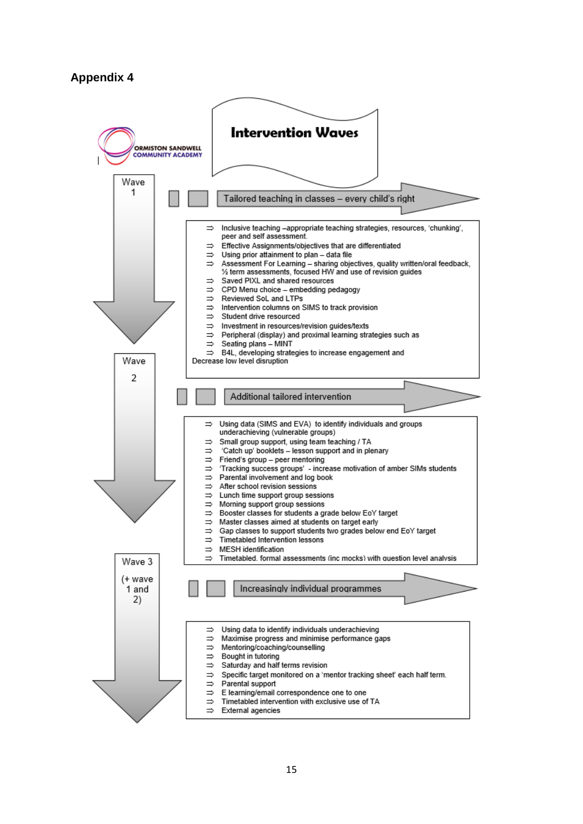#### **Appendix 4**